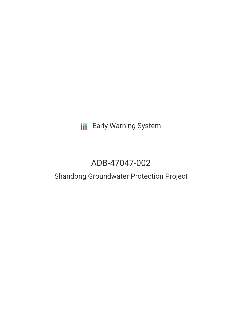# **III** Early Warning System

# ADB-47047-002

# Shandong Groundwater Protection Project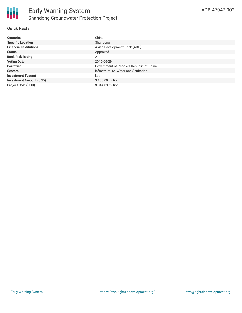# **Quick Facts**

| <b>Countries</b>               | China                                    |
|--------------------------------|------------------------------------------|
| <b>Specific Location</b>       | Shandong                                 |
| <b>Financial Institutions</b>  | Asian Development Bank (ADB)             |
| <b>Status</b>                  | Approved                                 |
| <b>Bank Risk Rating</b>        | A                                        |
| <b>Voting Date</b>             | 2016-06-29                               |
| <b>Borrower</b>                | Government of People's Republic of China |
| <b>Sectors</b>                 | Infrastructure, Water and Sanitation     |
| <b>Investment Type(s)</b>      | Loan                                     |
| <b>Investment Amount (USD)</b> | \$150.00 million                         |
| <b>Project Cost (USD)</b>      | \$344.03 million                         |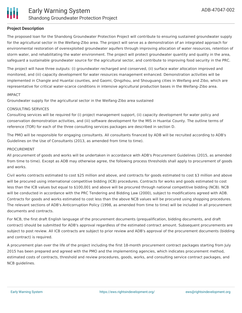

### **Project Description**

The proposed loan for the Shandong Groundwater Protection Project will contribute to ensuring sustained groundwater supply for the agricultural sector in the Weifang-Zibo area. The project will serve as a demonstration of an integrated approach for environmental restoration of overexploited groundwater aquifers through improving allocation of water resources, retention of storm water, and rehabilitating the water environment. The project will protect groundwater quantity and quality in the area, safeguard a sustainable groundwater source for the agricultural sector, and contribute to improving food security in the PRC.

The project will have three outputs: (i) groundwater recharged and conserved, (ii) surface water allocation improved and monitored, and (iii) capacity development for water resources management enhanced. Demonstration activities will be implemented in Changle and Huantai counties, and Gaomi, Qingzhou, and Shouguang cities in Weifang and Zibo, which are representative for critical water-scarce conditions in intensive agricultural production bases in the Weifang–Zibo area.

#### IMPACT

Groundwater supply for the agricultural sector in the Weifang-Zibo area sustained

#### CONSULTING SERVICES

Consulting services will be required for (i) project management support, (ii) capacity development for water policy and conservation demonstration activities, and (iii) software development for the MIS in Huantai County. The outline terms of reference (TOR) for each of the three consulting services packages are described in section D.

The PMO will be responsible for engaging consultants. All consultants financed by ADB will be recruited according to ADB's Guidelines on the Use of Consultants (2013, as amended from time to time).

#### PROCUREMENT

All procurement of goods and works will be undertaken in accordance with ADB's Procurement Guidelines (2015, as amended from time to time). Except as ADB may otherwise agree, the following process thresholds shall apply to procurement of goods and works.

Civil works contracts estimated to cost \$25 million and above, and contracts for goods estimated to cost \$3 million and above will be procured using international competitive bidding (ICB) procedures. Contracts for works and goods estimated to cost less than the ICB values but equal to \$100,001 and above will be procured through national competitive bidding (NCB). NCB will be conducted in accordance with the PRC Tendering and Bidding Law (2000), subject to modifications agreed with ADB. Contracts for goods and works estimated to cost less than the above NCB values will be procured using shopping procedures. The relevant sections of ADB's Anticorruption Policy (1998, as amended from time to time) will be included in all procurement documents and contracts.

For NCB, the first draft English language of the procurement documents (prequalification, bidding documents, and draft contract) should be submitted for ADB's approval regardless of the estimated contract amount. Subsequent procurements are subject to post review. All ICB contracts are subject to prior review and ADB's approval of the procurement documents (bidding and contract) is required.

A procurement plan over the life of the project including the first 18-month procurement contract packages starting from July 2015 has been prepared and agreed with the PMO and the implementing agencies, which indicates procurement method, estimated costs of contracts, threshold and review procedures, goods, works, and consulting service contract packages, and NCB guidelines.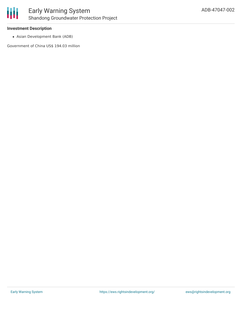

### **Investment Description**

Asian Development Bank (ADB)

Government of China US\$ 194.03 million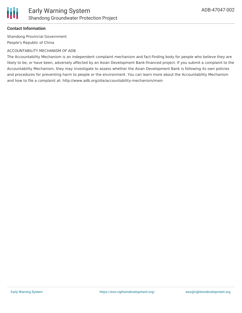

# **Contact Information**

Shandong Provincial Government People's Republic of China

### ACCOUNTABILITY MECHANISM OF ADB

The Accountability Mechanism is an independent complaint mechanism and fact-finding body for people who believe they are likely to be, or have been, adversely affected by an Asian Development Bank-financed project. If you submit a complaint to the Accountability Mechanism, they may investigate to assess whether the Asian Development Bank is following its own policies and procedures for preventing harm to people or the environment. You can learn more about the Accountability Mechanism and how to file a complaint at: http://www.adb.org/site/accountability-mechanism/main